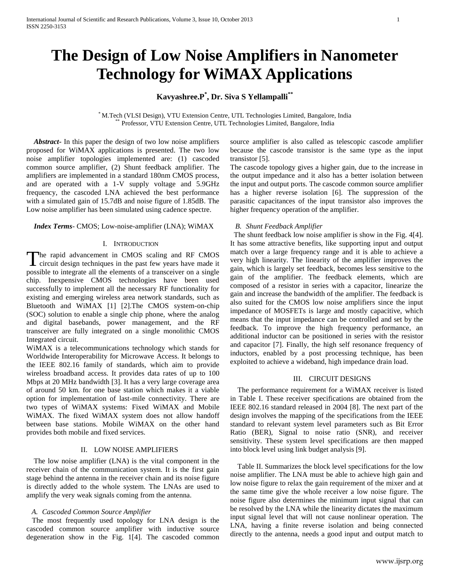# **The Design of Low Noise Amplifiers in Nanometer Technology for WiMAX Applications**

## **Kavyashree.P\* , Dr. Siva S Yellampalli\*\***

\* M.Tech (VLSI Design), VTU Extension Centre, UTL Technologies Limited, Bangalore, India Professor, VTU Extension Centre, UTL Technologies Limited, Bangalore, India

 *Abstract***-** In this paper the design of two low noise amplifiers proposed for WiMAX applications is presented. The two low noise amplifier topologies implemented are: (1) cascoded common source amplifier, (2) Shunt feedback amplifier. The amplifiers are implemented in a standard 180nm CMOS process, and are operated with a 1-V supply voltage and 5.9GHz frequency, the cascoded LNA achieved the best performance with a simulated gain of 15.7dB and noise figure of 1.85dB. The Low noise amplifier has been simulated using cadence spectre.

## *Index Terms*- CMOS; Low-noise-amplifier (LNA); WiMAX

## I. INTRODUCTION

The rapid advancement in CMOS scaling and RF CMOS The rapid advancement in CMOS scaling and RF CMOS circuit design techniques in the past few years have made it possible to integrate all the elements of a transceiver on a single chip. Inexpensive CMOS technologies have been used successfully to implement all the necessary RF functionality for existing and emerging wireless area network standards, such as Bluetooth and WiMAX [1] [2].The CMOS system-on-chip (SOC) solution to enable a single chip phone, where the analog and digital basebands, power management, and the RF transceiver are fully integrated on a single monolithic CMOS Integrated circuit.

WiMAX is a telecommunications technology which stands for Worldwide Interoperability for Microwave Access. It belongs to the IEEE 802.16 family of standards, which aim to provide wireless broadband access. It provides data rates of up to 100 Mbps at 20 MHz bandwidth [3]. It has a very large coverage area of around 50 km. for one base station which makes it a viable option for implementation of last-mile connectivity. There are two types of WiMAX systems: Fixed WiMAX and Mobile WiMAX. The fixed WiMAX system does not allow handoff between base stations. Mobile WiMAX on the other hand provides both mobile and fixed services.

## II. LOW NOISE AMPLIFIERS

 The low noise amplifier (LNA) is the vital component in the receiver chain of the communication system. It is the first gain stage behind the antenna in the receiver chain and its noise figure is directly added to the whole system. The LNAs are used to amplify the very weak signals coming from the antenna.

## *A. Cascoded Common Source Amplifier*

 The most frequently used topology for LNA design is the cascoded common source amplifier with inductive source degeneration show in the Fig. 1[4]. The cascoded common source amplifier is also called as telescopic cascode amplifier because the cascode transistor is the same type as the input transistor [5].

The cascode topology gives a higher gain, due to the increase in the output impedance and it also has a better isolation between the input and output ports. The cascode common source amplifier has a higher reverse isolation [6]. The suppression of the parasitic capacitances of the input transistor also improves the higher frequency operation of the amplifier.

## *B. Shunt Feedback Amplifier*

 The shunt feedback low noise amplifier is show in the Fig. 4[4]. It has some attractive benefits, like supporting input and output match over a large frequency range and it is able to achieve a very high linearity. The linearity of the amplifier improves the gain, which is largely set feedback, becomes less sensitive to the gain of the amplifier. The feedback elements, which are composed of a resistor in series with a capacitor, linearize the gain and increase the bandwidth of the amplifier. The feedback is also suited for the CMOS low noise amplifiers since the input impedance of MOSFETs is large and mostly capacitive, which means that the input impedance can be controlled and set by the feedback. To improve the high frequency performance, an additional inductor can be positioned in series with the resistor and capacitor [7]. Finally, the high self resonance frequency of inductors, enabled by a post processing technique, has been exploited to achieve a wideband, high impedance drain load.

## III. CIRCUIT DESIGNS

 The performance requirement for a WiMAX receiver is listed in Table I. These receiver specifications are obtained from the IEEE 802.16 standard released in 2004 [8]. The next part of the design involves the mapping of the specifications from the IEEE standard to relevant system level parameters such as Bit Error Ratio (BER), Signal to noise ratio (SNR), and receiver sensitivity. These system level specifications are then mapped into block level using link budget analysis [9].

 Table II. Summarizes the block level specifications for the low noise amplifier. The LNA must be able to achieve high gain and low noise figure to relax the gain requirement of the mixer and at the same time give the whole receiver a low noise figure. The noise figure also determines the minimum input signal that can be resolved by the LNA while the linearity dictates the maximum input signal level that will not cause nonlinear operation. The LNA, having a finite reverse isolation and being connected directly to the antenna, needs a good input and output match to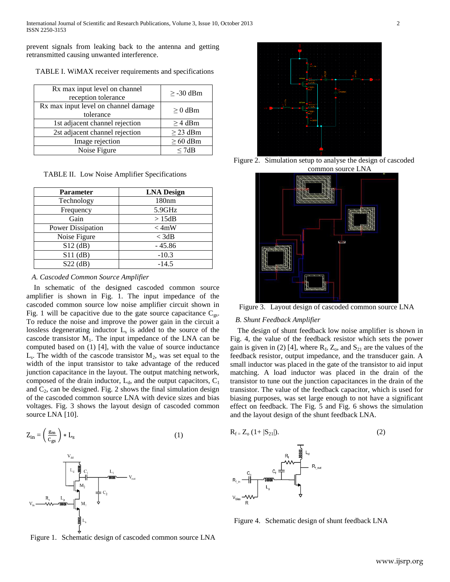prevent signals from leaking back to the antenna and getting retransmitted causing unwanted interference.

TABLE I. WiMAX receiver requirements and specifications

| Rx max input level on channel<br>reception tolerance | $\geq$ -30 dBm |  |  |
|------------------------------------------------------|----------------|--|--|
| Rx max input level on channel damage<br>tolerance    | $\geq 0$ dBm   |  |  |
| 1st adjacent channel rejection                       | $\geq$ 4 dBm   |  |  |
| 2st adjacent channel rejection                       | $\geq$ 23 dBm  |  |  |
| Image rejection                                      | $\geq 60$ dBm  |  |  |
| Noise Figure                                         | < 7dR          |  |  |

TABLE II. Low Noise Amplifier Specifications

| <b>Parameter</b>  | <b>LNA Design</b> |
|-------------------|-------------------|
| Technology        | 180nm             |
| Frequency         | 5.9GHz            |
| Gain              | >15dB             |
| Power Dissipation | $<$ 4mW           |
| Noise Figure      | $<$ 3dB           |
| $S12$ (dB)        | $-45.86$          |
| $S11$ (dB)        | $-10.3$           |
| $S22$ (dB)        | $-14.5$           |

#### *A. Cascoded Common Source Amplifier*

 In schematic of the designed cascoded common source amplifier is shown in Fig. 1. The input impedance of the cascoded common source low noise amplifier circuit shown in Fig. 1 will be capacitive due to the gate source capacitance  $C_{gs}$ . To reduce the noise and improve the power gain in the circuit a lossless degenerating inductor L<sub>s</sub> is added to the source of the cascode transistor  $M_1$ . The input impedance of the LNA can be computed based on (1) [4], with the value of source inductance  $L<sub>s</sub>$ . The width of the cascode transistor  $M<sub>2</sub>$ , was set equal to the width of the input transistor to take advantage of the reduced junction capacitance in the layout. The output matching network, composed of the drain inductor,  $L_d$ , and the output capacitors,  $C_1$ and  $C_2$ , can be designed. Fig. 2 shows the final simulation design of the cascoded common source LNA with device sizes and bias voltages. Fig. 3 shows the layout design of cascoded common source LNA [10].



Figure 1. Schematic design of cascoded common source LNA



Figure 2. Simulation setup to analyse the design of cascoded common source LNA



Figure 3. Layout design of cascoded common source LNA

#### *B. Shunt Feedback Amplifier*

 The design of shunt feedback low noise amplifier is shown in Fig. 4, the value of the feedback resistor which sets the power gain is given in (2) [4], where  $R_f$ ,  $Z_o$ , and  $S_{21}$  are the values of the feedback resistor, output impedance, and the transducer gain. A small inductor was placed in the gate of the transistor to aid input matching. A load inductor was placed in the drain of the transistor to tune out the junction capacitances in the drain of the transistor. The value of the feedback capacitor, which is used for biasing purposes, was set large enough to not have a significant effect on feedback. The Fig. 5 and Fig. 6 shows the simulation and the layout design of the shunt feedback LNA.



Figure 4. Schematic design of shunt feedback LNA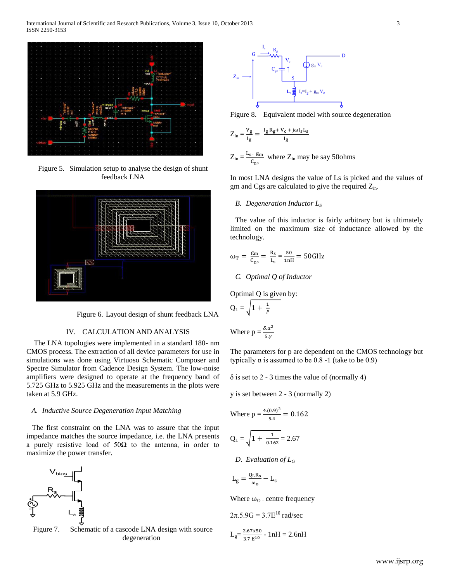

Figure 5. Simulation setup to analyse the design of shunt feedback LNA



Figure 6. Layout design of shunt feedback LNA

## IV. CALCULATION AND ANALYSIS

 The LNA topologies were implemented in a standard 180- nm CMOS process. The extraction of all device parameters for use in simulations was done using Virtuoso Schematic Composer and Spectre Simulator from Cadence Design System. The low-noise amplifiers were designed to operate at the frequency band of 5.725 GHz to 5.925 GHz and the measurements in the plots were taken at 5.9 GHz.

## *A. Inductive Source Degeneration Input Matching*

 The first constraint on the LNA was to assure that the input impedance matches the source impedance, i.e. the LNA presents a purely resistive load of 50Ω to the antenna, in order to maximize the power transfer.



Figure 7. Schematic of a cascode LNA design with source degeneration



Figure 8. Equivalent model with source degeneration

$$
Z_{in} \,{=}\,\frac{v_g}{\mathrm{I}_g} = \,\frac{\mathrm{I}_g\, \mathrm{R}_g \hspace{-0.08cm}+ \hspace{-0.08cm} V_c \hspace{-0.08cm}+ \hspace{-0.08cm} j \omega \mathrm{I}_s \mathrm{I}_s}{\mathrm{I}_g}
$$

$$
Z_{in} = \frac{L_s \cdot g_m}{c_{gs}}
$$
 where  $Z_{in}$  may be say 50 ohms

In most LNA designs the value of Ls is picked and the values of gm and Cgs are calculated to give the required  $Z_{in}$ .

## *B. Degeneration Inductor L<sup>S</sup>*

The value of this inductor is fairly arbitrary but is ultimately limited on the maximum size of inductance allowed by the technology.

$$
\omega_{\text{T}} = \frac{\text{g}_{\text{m}}}{\text{C}_{\text{gs}}} = \frac{\text{R}_{\text{s}}}{\text{L}_{\text{s}}} = \frac{50}{1 \text{ nH}} = 50 \text{GHz}
$$

#### *C. Optimal Q of Inductor*

Optimal Q is given by:

$$
Q_{L} = \sqrt{1 + \frac{1}{p}}
$$

Where 
$$
p = \frac{\delta \cdot \alpha^2}{5 \cdot \gamma}
$$

The parameters for p are dependent on the CMOS technology but typically  $\alpha$  is assumed to be 0.8 -1 (take to be 0.9)

 $\delta$  is set to 2 - 3 times the value of (normally 4)

y is set between 2 - 3 (normally 2)

Where 
$$
p = \frac{4.(0.9)^2}{5.4} = 0.162
$$
  
 $Q_L = \sqrt{1 + \frac{1}{0.162}} = 2.67$ 

*D. Evaluation of*  $L_G$ 

$$
L_g = \frac{Q_L R_s}{\omega_0} - L_s
$$

Where  $\omega_{\text{O}}$  = centre frequency

$$
2\pi.5.9G = 3.7E^{10} \text{ rad/sec}
$$

$$
L_g = \frac{2.67 \times 50}{3.7 E^{10}} - 1 \text{ nH} = 2.6 \text{ nH}
$$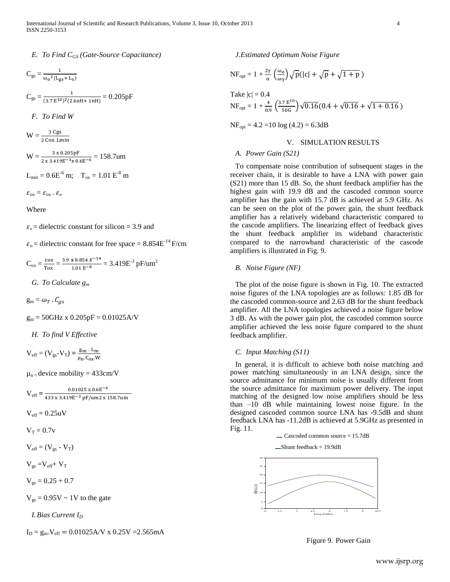## *E. To Find CGS (Gate-Source Capacitance)*

$$
C_{gs} = \frac{1}{\omega_0^2 (L_{gs} + L_s)}
$$
  
\n
$$
C_{gs} = \frac{1}{(3.7 \text{ E}^{10})^2 (2.6 \text{ nH} + 1 \text{ nH})} = 0.205 \text{pF}
$$
  
\n*F. To Find W*  
\n
$$
W = \frac{3 \text{ Cgs}}{2 \text{ Cox.Lmin}}
$$
  
\n
$$
W = \frac{3 \times 0.205 \text{pF}}{2 \times 3.419 \text{E}^{-3} \times 0.6 \text{E}^{-6}} = 158.7 \text{um}
$$
  
\n
$$
L_{\text{min}} = 0.6 \text{E}^{-6} \text{ m}; \quad T_{\text{ox}} = 1.01 \text{E}^{-8} \text{ m}
$$

$$
\varepsilon_{ox} = \varepsilon_{ox} \cdot \varepsilon_o
$$

Where

 $\varepsilon_s$  = dielectric constant for silicon = 3.9 and

 $\varepsilon_0$  = dielectric constant for free space = 8.854E<sup>-14</sup> F/cm

$$
C_{ox} = \frac{\epsilon \sigma x}{T \sigma x} = \frac{3.9 \text{ x } 8.854 \text{ } E^{-14}}{1.01 \text{ } E^{-8}} = 3.419 E^{-3} \text{ pF/mm}^2
$$

*G. To Calculate g<sup>m</sup>*

 $g_m = \omega_T \cdot C_{as}$ 

 $g_m = 50$ GHz x 0.205pF = 0.01025A/V

*H. To find V Effective*

 $V_{\text{eff}} = (V_{\text{gs}} - V_{\text{T}}) = \frac{g}{v}$ μ

 $\mu_n$  = device mobility = 433cm/V

$$
V_{eff} = \frac{0.01025 \times 0.6E^{-6}}{433 \times 3.419E^{-3} \text{ pF/um2} \times 158.7 \text{um}}
$$

 $V_{eff} = 0.25$ uV

 $V_T = 0.7v$ 

 $V_{\text{eff}} = (V_{\text{gs}} - V_{\text{T}})$ 

 $V_{gs} = V_{eff} + V_T$ 

$$
V_{gs} = 0.25 + 0.7
$$

 $V_{gs} = 0.95V \sim 1V$  to the gate

*I.Bias Current I<sup>D</sup>*

 $I_D = g_m$ .  $V_{eff} = 0.01025$ A/V x 0.25V = 2.565mA

*J.Estimated Optimum Noise Figure*

$$
NF_{opt} = 1 + \frac{2\gamma}{\alpha} \left(\frac{\omega_0}{\omega_T}\right) \sqrt{p} (|c| + \sqrt{p} + \sqrt{1 + p})
$$
  
Take  $|c| = 0.4$   

$$
NF_{opt} = 1 + \frac{4}{0.9} \left(\frac{3.7 \text{ E}^{10}}{50 \text{ G}}\right) \sqrt{0.16} (0.4 + \sqrt{0.16} + \sqrt{1 + 0.16})
$$
  

$$
NF_{opt} = 4.2 = 10 \log (4.2) = 6.3 \text{ dB}
$$

## V. SIMULATION RESULTS

## *A. Power Gain (S21)*

To compensate noise contribution of subsequent stages in the receiver chain, it is desirable to have a LNA with power gain (S21) more than 15 dB. So, the shunt feedback amplifier has the highest gain with 19.9 dB and the cascoded common source amplifier has the gain with 15.7 dB is achieved at 5.9 GHz. As can be seen on the plot of the power gain, the shunt feedback amplifier has a relatively wideband characteristic compared to the cascode amplifiers. The linearizing effect of feedback gives the shunt feedback amplifier its wideband characteristic compared to the narrowband characteristic of the cascode amplifiers is illustrated in Fig. 9.

## *B. Noise Figure (NF)*

The plot of the noise figure is shown in Fig. 10. The extracted noise figures of the LNA topologies are as follows: 1.85 dB for the cascoded common-source and 2.63 dB for the shunt feedback amplifier. All the LNA topologies achieved a noise figure below 3 dB. As with the power gain plot, the cascoded common source amplifier achieved the less noise figure compared to the shunt feedback amplifier.

## *C. Input Matching (S11)*

In general, it is difficult to achieve both noise matching and power matching simultaneously in an LNA design, since the source admittance for minimum noise is usually different from the source admittance for maximum power delivery. The input matching of the designed low noise amplifiers should be less than –10 dB while maintaining lowest noise figure. In the designed cascoded common source LNA has -9.5dB and shunt feedback LNA has -11.2dB is achieved at 5.9GHz as presented in Fig. 11.



Figure 9. Power Gain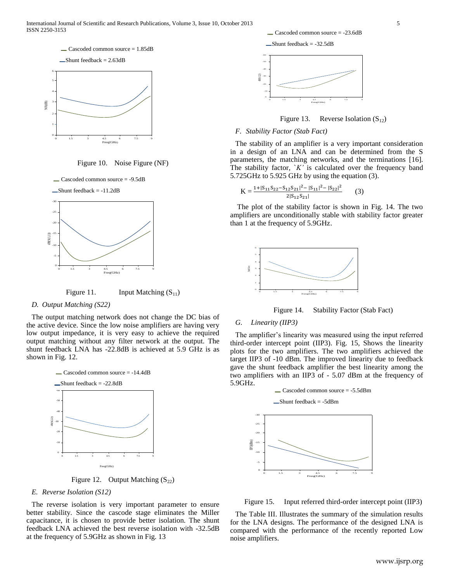



Figure 10. Noise Figure (NF)





Figure 11. Input Matching  $(S_{11})$ 

## *D. Output Matching (S22)*

The output matching network does not change the DC bias of the active device. Since the low noise amplifiers are having very low output impedance, it is very easy to achieve the required output matching without any filter network at the output. The shunt feedback LNA has -22.8dB is achieved at 5.9 GHz is as shown in Fig. 12.



Figure 12. Output Matching  $(S_{22})$ 

## *E. Reverse Isolation (S12)*

The reverse isolation is very important parameter to ensure better stability. Since the cascode stage eliminates the Miller capacitance, it is chosen to provide better isolation. The shunt feedback LNA achieved the best reverse isolation with -32.5dB at the frequency of 5.9GHz as shown in Fig. 13

 $\angle$ Cascoded common source = -23.6dB







## *F. Stability Factor (Stab Fact)*

The stability of an amplifier is a very important consideration in a design of an LNA and can be determined from the S parameters, the matching networks, and the terminations [16]. The stability factor,  $K'$  is calculated over the frequency band 5.725GHz to 5.925 GHz by using the equation (3).

$$
K = \frac{1 + |S_{11}S_{22} - S_{12}S_{21}|^2 - |S_{11}|^2 - |S_{22}|^2}{2|S_{12}S_{21}|}
$$
 (3)

The plot of the stability factor is shown in Fig. 14. The two amplifiers are unconditionally stable with stability factor greater than 1 at the frequency of 5.9GHz.





## *G. Linearity (IIP3)*

The amplifier's linearity was measured using the input referred third-order intercept point (IIP3). Fig. 15, Shows the linearity plots for the two amplifiers. The two amplifiers achieved the target IIP3 of -10 dBm. The improved linearity due to feedback gave the shunt feedback amplifier the best linearity among the two amplifiers with an IIP3 of - 5.07 dBm at the frequency of 5.9GHz.



Figure 15. Input referred third-order intercept point (IIP3)

The Table III. Illustrates the summary of the simulation results for the LNA designs. The performance of the designed LNA is compared with the performance of the recently reported Low noise amplifiers.